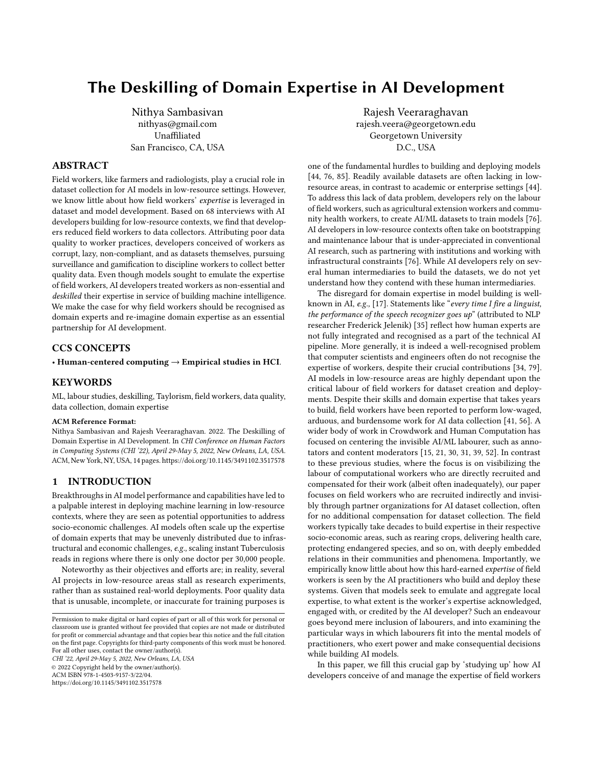# The Deskilling of Domain Expertise in AI Development

Nithya Sambasivan nithyas@gmail.com Unaffiliated San Francisco, CA, USA

# ABSTRACT

Field workers, like farmers and radiologists, play a crucial role in dataset collection for AI models in low-resource settings. However, we know little about how field workers' expertise is leveraged in dataset and model development. Based on 68 interviews with AI developers building for low-resource contexts, we find that developers reduced field workers to data collectors. Attributing poor data quality to worker practices, developers conceived of workers as corrupt, lazy, non-compliant, and as datasets themselves, pursuing surveillance and gamification to discipline workers to collect better quality data. Even though models sought to emulate the expertise of field workers, AI developers treated workers as non-essential and deskilled their expertise in service of building machine intelligence. We make the case for why field workers should be recognised as domain experts and re-imagine domain expertise as an essential partnership for AI development.

### CCS CONCEPTS

• Human-centered computing  $\rightarrow$  Empirical studies in HCI.

### **KEYWORDS**

ML, labour studies, deskilling, Taylorism, field workers, data quality, data collection, domain expertise

### ACM Reference Format:

Nithya Sambasivan and Rajesh Veeraraghavan. 2022. The Deskilling of Domain Expertise in AI Development. In CHI Conference on Human Factors in Computing Systems (CHI '22), April 29-May 5, 2022, New Orleans, LA, USA. ACM, New York, NY, USA, [14](#page-13-0) pages.<https://doi.org/10.1145/3491102.3517578>

## 1 INTRODUCTION

Breakthroughs in AI model performance and capabilities have led to a palpable interest in deploying machine learning in low-resource contexts, where they are seen as potential opportunities to address socio-economic challenges. AI models often scale up the expertise of domain experts that may be unevenly distributed due to infrastructural and economic challenges, e.g., scaling instant Tuberculosis reads in regions where there is only one doctor per 30,000 people.

Noteworthy as their objectives and efforts are; in reality, several AI projects in low-resource areas stall as research experiments, rather than as sustained real-world deployments. Poor quality data that is unusable, incomplete, or inaccurate for training purposes is

CHI '22, April 29-May 5, 2022, New Orleans, LA, USA © 2022 Copyright held by the owner/author(s). ACM ISBN 978-1-4503-9157-3/22/04.

<https://doi.org/10.1145/3491102.3517578>

Rajesh Veeraraghavan rajesh.veera@georgetown.edu Georgetown University D.C., USA

one of the fundamental hurdles to building and deploying models [\[44,](#page-12-0) [76,](#page-13-1) [85\]](#page-13-2). Readily available datasets are often lacking in lowresource areas, in contrast to academic or enterprise settings [\[44\]](#page-12-0). To address this lack of data problem, developers rely on the labour of field workers, such as agricultural extension workers and community health workers, to create AI/ML datasets to train models [\[76\]](#page-13-1). AI developers in low-resource contexts often take on bootstrapping and maintenance labour that is under-appreciated in conventional AI research, such as partnering with institutions and working with infrastructural constraints [\[76\]](#page-13-1). While AI developers rely on several human intermediaries to build the datasets, we do not yet understand how they contend with these human intermediaries.

The disregard for domain expertise in model building is wellknown in AI, e.g., [\[17\]](#page-11-0). Statements like "every time I fire a linguist, the performance of the speech recognizer goes up" (attributed to NLP researcher Frederick Jelenik) [\[35\]](#page-12-1) reflect how human experts are not fully integrated and recognised as a part of the technical AI pipeline. More generally, it is indeed a well-recognised problem that computer scientists and engineers often do not recognise the expertise of workers, despite their crucial contributions [\[34,](#page-12-2) [79\]](#page-13-3). AI models in low-resource areas are highly dependant upon the critical labour of field workers for dataset creation and deployments. Despite their skills and domain expertise that takes years to build, field workers have been reported to perform low-waged, arduous, and burdensome work for AI data collection [\[41,](#page-12-3) [56\]](#page-12-4). A wider body of work in Crowdwork and Human Computation has focused on centering the invisible AI/ML labourer, such as annotators and content moderators [\[15,](#page-11-1) [21,](#page-12-5) [30,](#page-12-6) [31,](#page-12-7) [39,](#page-12-8) [52\]](#page-12-9). In contrast to these previous studies, where the focus is on visibilizing the labour of computational workers who are directly recruited and compensated for their work (albeit often inadequately), our paper focuses on field workers who are recruited indirectly and invisibly through partner organizations for AI dataset collection, often for no additional compensation for dataset collection. The field workers typically take decades to build expertise in their respective socio-economic areas, such as rearing crops, delivering health care, protecting endangered species, and so on, with deeply embedded relations in their communities and phenomena. Importantly, we empirically know little about how this hard-earned expertise of field workers is seen by the AI practitioners who build and deploy these systems. Given that models seek to emulate and aggregate local expertise, to what extent is the worker's expertise acknowledged, engaged with, or credited by the AI developer? Such an endeavour goes beyond mere inclusion of labourers, and into examining the particular ways in which labourers fit into the mental models of practitioners, who exert power and make consequential decisions while building AI models.

In this paper, we fill this crucial gap by 'studying up' how AI developers conceive of and manage the expertise of field workers

Permission to make digital or hard copies of part or all of this work for personal or classroom use is granted without fee provided that copies are not made or distributed for profit or commercial advantage and that copies bear this notice and the full citation on the first page. Copyrights for third-party components of this work must be honored. For all other uses, contact the owner/author(s).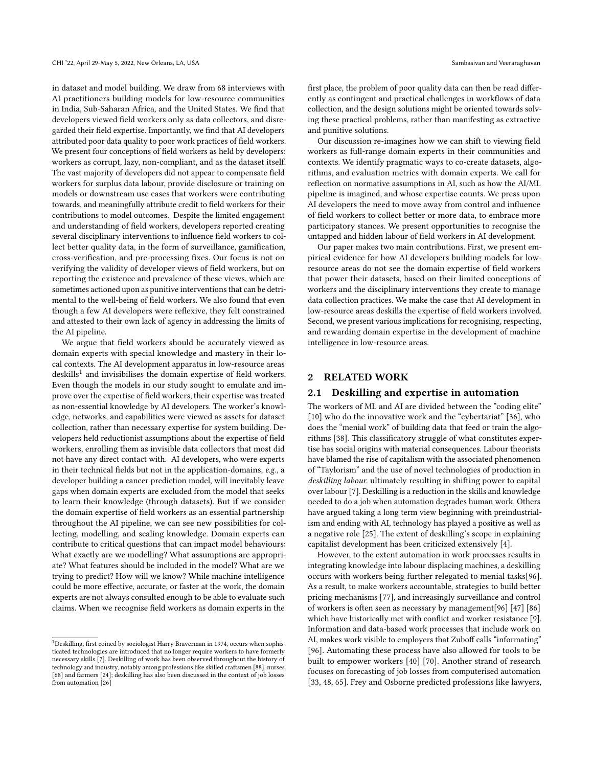in dataset and model building. We draw from 68 interviews with AI practitioners building models for low-resource communities in India, Sub-Saharan Africa, and the United States. We find that developers viewed field workers only as data collectors, and disregarded their field expertise. Importantly, we find that AI developers attributed poor data quality to poor work practices of field workers. We present four conceptions of field workers as held by developers: workers as corrupt, lazy, non-compliant, and as the dataset itself. The vast majority of developers did not appear to compensate field workers for surplus data labour, provide disclosure or training on models or downstream use cases that workers were contributing towards, and meaningfully attribute credit to field workers for their contributions to model outcomes. Despite the limited engagement and understanding of field workers, developers reported creating several disciplinary interventions to influence field workers to collect better quality data, in the form of surveillance, gamification, cross-verification, and pre-processing fixes. Our focus is not on verifying the validity of developer views of field workers, but on reporting the existence and prevalence of these views, which are sometimes actioned upon as punitive interventions that can be detrimental to the well-being of field workers. We also found that even though a few AI developers were reflexive, they felt constrained and attested to their own lack of agency in addressing the limits of the AI pipeline.

We argue that field workers should be accurately viewed as domain experts with special knowledge and mastery in their local contexts. The AI development apparatus in low-resource areas  $\frac{1}{2}$  $\frac{1}{2}$  $\frac{1}{2}$  deskills<sup>1</sup> and invisibilises the domain expertise of field workers. Even though the models in our study sought to emulate and improve over the expertise of field workers, their expertise was treated as non-essential knowledge by AI developers. The worker's knowledge, networks, and capabilities were viewed as assets for dataset collection, rather than necessary expertise for system building. Developers held reductionist assumptions about the expertise of field workers, enrolling them as invisible data collectors that most did not have any direct contact with. AI developers, who were experts in their technical fields but not in the application-domains, e.g., a developer building a cancer prediction model, will inevitably leave gaps when domain experts are excluded from the model that seeks to learn their knowledge (through datasets). But if we consider the domain expertise of field workers as an essential partnership throughout the AI pipeline, we can see new possibilities for collecting, modelling, and scaling knowledge. Domain experts can contribute to critical questions that can impact model behaviours: What exactly are we modelling? What assumptions are appropriate? What features should be included in the model? What are we trying to predict? How will we know? While machine intelligence could be more effective, accurate, or faster at the work, the domain experts are not always consulted enough to be able to evaluate such claims. When we recognise field workers as domain experts in the

first place, the problem of poor quality data can then be read differently as contingent and practical challenges in workflows of data collection, and the design solutions might be oriented towards solving these practical problems, rather than manifesting as extractive and punitive solutions.

Our discussion re-imagines how we can shift to viewing field workers as full-range domain experts in their communities and contexts. We identify pragmatic ways to co-create datasets, algorithms, and evaluation metrics with domain experts. We call for reflection on normative assumptions in AI, such as how the AI/ML pipeline is imagined, and whose expertise counts. We press upon AI developers the need to move away from control and influence of field workers to collect better or more data, to embrace more participatory stances. We present opportunities to recognise the untapped and hidden labour of field workers in AI development.

Our paper makes two main contributions. First, we present empirical evidence for how AI developers building models for lowresource areas do not see the domain expertise of field workers that power their datasets, based on their limited conceptions of workers and the disciplinary interventions they create to manage data collection practices. We make the case that AI development in low-resource areas deskills the expertise of field workers involved. Second, we present various implications for recognising, respecting, and rewarding domain expertise in the development of machine intelligence in low-resource areas.

### 2 RELATED WORK

### 2.1 Deskilling and expertise in automation

The workers of ML and AI are divided between the "coding elite" [\[10\]](#page-11-3) who do the innovative work and the "cybertariat" [\[36\]](#page-12-13), who does the "menial work" of building data that feed or train the algorithms [\[38\]](#page-12-14). This classificatory struggle of what constitutes expertise has social origins with material consequences. Labour theorists have blamed the rise of capitalism with the associated phenomenon of "Taylorism" and the use of novel technologies of production in deskilling labour. ultimately resulting in shifting power to capital over labour [\[7\]](#page-11-2). Deskilling is a reduction in the skills and knowledge needed to do a job when automation degrades human work. Others have argued taking a long term view beginning with preindustrialism and ending with AI, technology has played a positive as well as a negative role [\[25\]](#page-12-15). The extent of deskilling's scope in explaining capitalist development has been criticized extensively [\[4\]](#page-11-4).

However, to the extent automation in work processes results in integrating knowledge into labour displacing machines, a deskilling occurs with workers being further relegated to menial tasks[\[96\]](#page-13-5). As a result, to make workers accountable, strategies to build better pricing mechanisms [\[77\]](#page-13-6), and increasingly surveillance and control of workers is often seen as necessary by management[\[96\]](#page-13-5) [\[47\]](#page-12-16) [\[86\]](#page-13-7) which have historically met with conflict and worker resistance [\[9\]](#page-11-5). Information and data-based work processes that include work on AI, makes work visible to employers that Zuboff calls "informating" [\[96\]](#page-13-5). Automating these process have also allowed for tools to be built to empower workers [\[40\]](#page-12-17) [\[70\]](#page-12-18). Another strand of research focuses on forecasting of job losses from computerised automation [\[33,](#page-12-19) [48,](#page-12-20) [65\]](#page-12-21). Frey and Osborne predicted professions like lawyers,

<span id="page-1-0"></span><sup>1</sup>Deskilling, first coined by sociologist Harry Braverman in 1974, occurs when sophisticated technologies are introduced that no longer require workers to have formerly necessary skills [\[7\]](#page-11-2). Deskilling of work has been observed throughout the history of technology and industry, notably among professions like skilled craftsmen [\[88\]](#page-13-4), nurses [\[68\]](#page-12-10) and farmers [\[24\]](#page-12-11); deskilling has also been discussed in the context of job losses from automation [\[26\]](#page-12-12)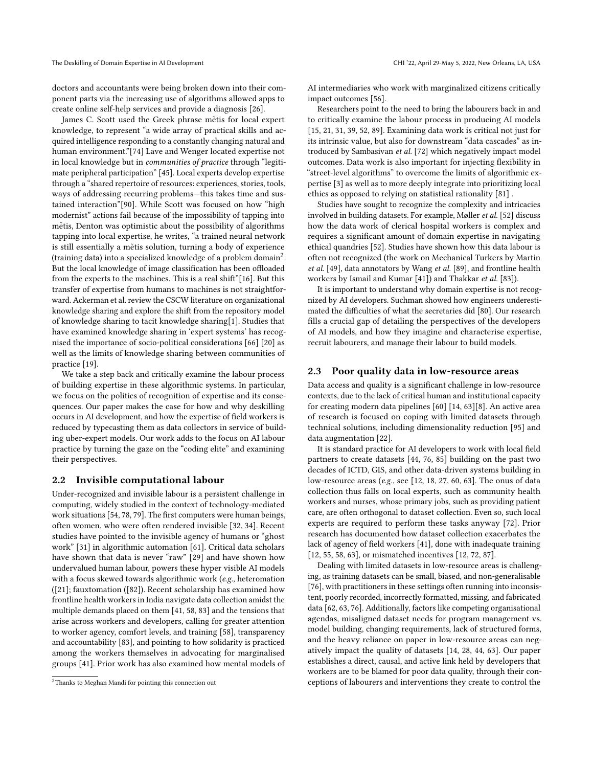doctors and accountants were being broken down into their component parts via the increasing use of algorithms allowed apps to create online self-help services and provide a diagnosis [\[26\]](#page-12-12).

James C. Scott used the Greek phrase metis for local expert knowledge, to represent "a wide array of practical skills and acquired intelligence responding to a constantly changing natural and human environment."[\[74\]](#page-12-22) Lave and Wenger located expertise not in local knowledge but in communities of practice through "legitimate peripheral participation" [\[45\]](#page-12-23). Local experts develop expertise through a "shared repertoire of resources: experiences, stories, tools, ways of addressing recurring problems—this takes time and sustained interaction"[\[90\]](#page-13-8). While Scott was focused on how "high modernist" actions fail because of the impossibility of tapping into metis, Denton was optimistic about the possibility of algorithms tapping into local expertise, he writes, "a trained neural network is still essentially a metis solution, turning a body of experience (training data) into a specialized knowledge of a problem domain<sup>[2](#page-2-0)</sup>. But the local knowledge of image classification has been offloaded from the experts to the machines. This is a real shift"[\[16\]](#page-11-6). But this transfer of expertise from humans to machines is not straightforward. Ackerman et al. review the CSCW literature on organizational knowledge sharing and explore the shift from the repository model of knowledge sharing to tacit knowledge sharing[\[1\]](#page-11-7). Studies that have examined knowledge sharing in 'expert systems' has recognised the importance of socio-political considerations [\[66\]](#page-12-24) [\[20\]](#page-12-25) as well as the limits of knowledge sharing between communities of practice [\[19\]](#page-11-8).

We take a step back and critically examine the labour process of building expertise in these algorithmic systems. In particular, we focus on the politics of recognition of expertise and its consequences. Our paper makes the case for how and why deskilling occurs in AI development, and how the expertise of field workers is reduced by typecasting them as data collectors in service of building uber-expert models. Our work adds to the focus on AI labour practice by turning the gaze on the "coding elite" and examining their perspectives.

### 2.2 Invisible computational labour

Under-recognized and invisible labour is a persistent challenge in computing, widely studied in the context of technology-mediated work situations [\[54,](#page-12-26) [78,](#page-13-9) [79\]](#page-13-3). The first computers were human beings, often women, who were often rendered invisible [\[32,](#page-12-27) [34\]](#page-12-2). Recent studies have pointed to the invisible agency of humans or "ghost work" [\[31\]](#page-12-7) in algorithmic automation [\[61\]](#page-12-28). Critical data scholars have shown that data is never "raw" [\[29\]](#page-12-29) and have shown how undervalued human labour, powers these hyper visible AI models with a focus skewed towards algorithmic work (e.g., heteromation ([\[21\]](#page-12-5); fauxtomation ([\[82\]](#page-13-10)). Recent scholarship has examined how frontline health workers in India navigate data collection amidst the multiple demands placed on them [\[41,](#page-12-3) [58,](#page-12-30) [83\]](#page-13-11) and the tensions that arise across workers and developers, calling for greater attention to worker agency, comfort levels, and training [\[58\]](#page-12-30), transparency and accountability [\[83\]](#page-13-11), and pointing to how solidarity is practiced among the workers themselves in advocating for marginalised groups [\[41\]](#page-12-3). Prior work has also examined how mental models of

AI intermediaries who work with marginalized citizens critically impact outcomes [\[56\]](#page-12-4).

Researchers point to the need to bring the labourers back in and to critically examine the labour process in producing AI models [\[15,](#page-11-1) [21,](#page-12-5) [31,](#page-12-7) [39,](#page-12-8) [52,](#page-12-9) [89\]](#page-13-12). Examining data work is critical not just for its intrinsic value, but also for downstream "data cascades" as introduced by Sambasivan et al. [\[72\]](#page-12-31) which negatively impact model outcomes. Data work is also important for injecting flexibility in "street-level algorithms" to overcome the limits of algorithmic expertise [\[3\]](#page-11-9) as well as to more deeply integrate into prioritizing local ethics as opposed to relying on statistical rationality [\[81\]](#page-13-13) .

Studies have sought to recognize the complexity and intricacies involved in building datasets. For example, Møller et al. [\[52\]](#page-12-9) discuss how the data work of clerical hospital workers is complex and requires a significant amount of domain expertise in navigating ethical quandries [\[52\]](#page-12-9). Studies have shown how this data labour is often not recognized (the work on Mechanical Turkers by Martin et al. [\[49\]](#page-12-32), data annotators by Wang et al. [\[89\]](#page-13-12), and frontline health workers by Ismail and Kumar [\[41\]](#page-12-3)) and Thakkar et al. [\[83\]](#page-13-11)).

It is important to understand why domain expertise is not recognized by AI developers. Suchman showed how engineers underestimated the difficulties of what the secretaries did [\[80\]](#page-13-14). Our research fills a crucial gap of detailing the perspectives of the developers of AI models, and how they imagine and characterise expertise, recruit labourers, and manage their labour to build models.

### 2.3 Poor quality data in low-resource areas

Data access and quality is a significant challenge in low-resource contexts, due to the lack of critical human and institutional capacity for creating modern data pipelines [\[60\]](#page-12-33) [\[14,](#page-11-10) [63\]](#page-12-34)[\[8\]](#page-11-11). An active area of research is focused on coping with limited datasets through technical solutions, including dimensionality reduction [\[95\]](#page-13-15) and data augmentation [\[22\]](#page-12-35).

It is standard practice for AI developers to work with local field partners to create datasets [\[44,](#page-12-0) [76,](#page-13-1) [85\]](#page-13-2) building on the past two decades of ICTD, GIS, and other data-driven systems building in low-resource areas (e.g., see [\[12,](#page-11-12) [18,](#page-11-13) [27,](#page-12-36) [60,](#page-12-33) [63\]](#page-12-34). The onus of data collection thus falls on local experts, such as community health workers and nurses, whose primary jobs, such as providing patient care, are often orthogonal to dataset collection. Even so, such local experts are required to perform these tasks anyway [\[72\]](#page-12-31). Prior research has documented how dataset collection exacerbates the lack of agency of field workers [\[41\]](#page-12-3), done with inadequate training [\[12,](#page-11-12) [55,](#page-12-37) [58,](#page-12-30) [63\]](#page-12-34), or mismatched incentives [12, [72,](#page-12-31) [87\]](#page-13-16).

Dealing with limited datasets in low-resource areas is challenging, as training datasets can be small, biased, and non-generalisable [\[76\]](#page-13-1), with practitioners in these settings often running into inconsistent, poorly recorded, incorrectly formatted, missing, and fabricated data [\[62,](#page-12-38) [63,](#page-12-34) [76\]](#page-13-1). Additionally, factors like competing organisational agendas, misaligned dataset needs for program management vs. model building, changing requirements, lack of structured forms, and the heavy reliance on paper in low-resource areas can negatively impact the quality of datasets [\[14,](#page-11-10) [28,](#page-12-39) [44,](#page-12-0) [63\]](#page-12-34). Our paper establishes a direct, causal, and active link held by developers that workers are to be blamed for poor data quality, through their conceptions of labourers and interventions they create to control the

<span id="page-2-0"></span><sup>2</sup>Thanks to Meghan Mandi for pointing this connection out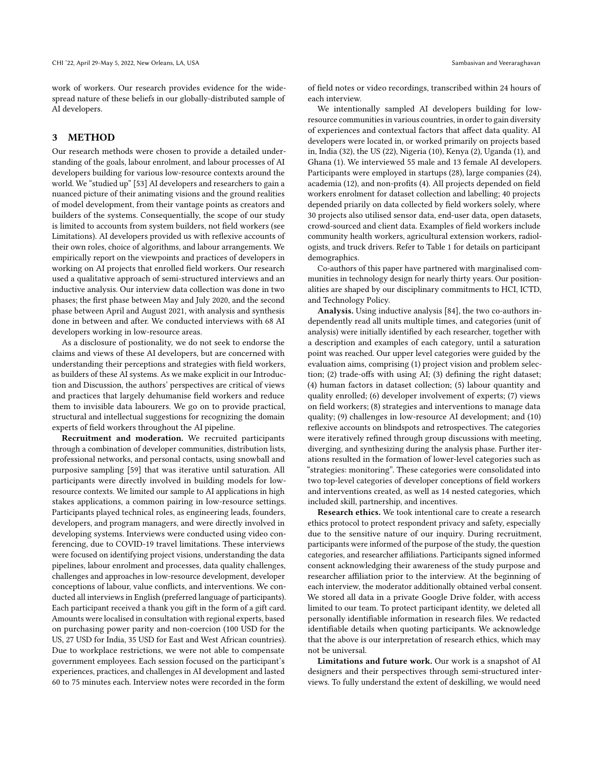work of workers. Our research provides evidence for the widespread nature of these beliefs in our globally-distributed sample of AI developers.

# 3 METHOD

Our research methods were chosen to provide a detailed understanding of the goals, labour enrolment, and labour processes of AI developers building for various low-resource contexts around the world. We "studied up" [\[53\]](#page-12-40) AI developers and researchers to gain a nuanced picture of their animating visions and the ground realities of model development, from their vantage points as creators and builders of the systems. Consequentially, the scope of our study is limited to accounts from system builders, not field workers (see [Limitations\)](#page-4-0). AI developers provided us with reflexive accounts of their own roles, choice of algorithms, and labour arrangements. We empirically report on the viewpoints and practices of developers in working on AI projects that enrolled field workers. Our research used a qualitative approach of semi-structured interviews and an inductive analysis. Our interview data collection was done in two phases; the first phase between May and July 2020, and the second phase between April and August 2021, with analysis and synthesis done in between and after. We conducted interviews with 68 AI developers working in low-resource areas.

As a disclosure of postionality, we do not seek to endorse the claims and views of these AI developers, but are concerned with understanding their perceptions and strategies with field workers, as builders of these AI systems. As we make explicit in our [Introduc](#page-7-0)[tion](#page-7-0) and [Discussion,](#page-8-0) the authors' perspectives are critical of views and practices that largely dehumanise field workers and reduce them to invisible data labourers. We go on to provide practical, structural and intellectual suggestions for recognizing the domain experts of field workers throughout the AI pipeline.

Recruitment and moderation. We recruited participants through a combination of developer communities, distribution lists, professional networks, and personal contacts, using snowball and purposive sampling [\[59\]](#page-12-41) that was iterative until saturation. All participants were directly involved in building models for lowresource contexts. We limited our sample to AI applications in high stakes applications, a common pairing in low-resource settings. Participants played technical roles, as engineering leads, founders, developers, and program managers, and were directly involved in developing systems. Interviews were conducted using video conferencing, due to COVID-19 travel limitations. These interviews were focused on identifying project visions, understanding the data pipelines, labour enrolment and processes, data quality challenges, challenges and approaches in low-resource development, developer conceptions of labour, value conflicts, and interventions. We conducted all interviews in English (preferred language of participants). Each participant received a thank you gift in the form of a gift card. Amounts were localised in consultation with regional experts, based on purchasing power parity and non-coercion (100 USD for the US, 27 USD for India, 35 USD for East and West African countries). Due to workplace restrictions, we were not able to compensate government employees. Each session focused on the participant's experiences, practices, and challenges in AI development and lasted 60 to 75 minutes each. Interview notes were recorded in the form

of field notes or video recordings, transcribed within 24 hours of each interview.

We intentionally sampled AI developers building for lowresource communities in various countries, in order to gain diversity of experiences and contextual factors that affect data quality. AI developers were located in, or worked primarily on projects based in, India (32), the US (22), Nigeria (10), Kenya (2), Uganda (1), and Ghana (1). We interviewed 55 male and 13 female AI developers. Participants were employed in startups (28), large companies (24), academia (12), and non-profits (4). All projects depended on field workers enrolment for dataset collection and labelling; 40 projects depended priarily on data collected by field workers solely, where 30 projects also utilised sensor data, end-user data, open datasets, crowd-sourced and client data. Examples of field workers include community health workers, agricultural extension workers, radiologists, and truck drivers. Refer to Table [1](#page-4-0) for details on participant demographics.

Co-authors of this paper have partnered with marginalised communities in technology design for nearly thirty years. Our positionalities are shaped by our disciplinary commitments to HCI, ICTD, and Technology Policy.

Analysis. Using inductive analysis [\[84\]](#page-13-17), the two co-authors independently read all units multiple times, and categories (unit of analysis) were initially identified by each researcher, together with a description and examples of each category, until a saturation point was reached. Our upper level categories were guided by the evaluation aims, comprising (1) project vision and problem selection; (2) trade-offs with using AI; (3) defining the right dataset; (4) human factors in dataset collection; (5) labour quantity and quality enrolled; (6) developer involvement of experts; (7) views on field workers; (8) strategies and interventions to manage data quality; (9) challenges in low-resource AI development; and (10) reflexive accounts on blindspots and retrospectives. The categories were iteratively refined through group discussions with meeting, diverging, and synthesizing during the analysis phase. Further iterations resulted in the formation of lower-level categories such as "strategies: monitoring". These categories were consolidated into two top-level categories of developer conceptions of field workers and interventions created, as well as 14 nested categories, which included skill, partnership, and incentives.

Research ethics. We took intentional care to create a research ethics protocol to protect respondent privacy and safety, especially due to the sensitive nature of our inquiry. During recruitment, participants were informed of the purpose of the study, the question categories, and researcher affiliations. Participants signed informed consent acknowledging their awareness of the study purpose and researcher affiliation prior to the interview. At the beginning of each interview, the moderator additionally obtained verbal consent. We stored all data in a private Google Drive folder, with access limited to our team. To protect participant identity, we deleted all personally identifiable information in research files. We redacted identifiable details when quoting participants. We acknowledge that the above is our interpretation of research ethics, which may not be universal.

Limitations and future work. Our work is a snapshot of AI designers and their perspectives through semi-structured interviews. To fully understand the extent of deskilling, we would need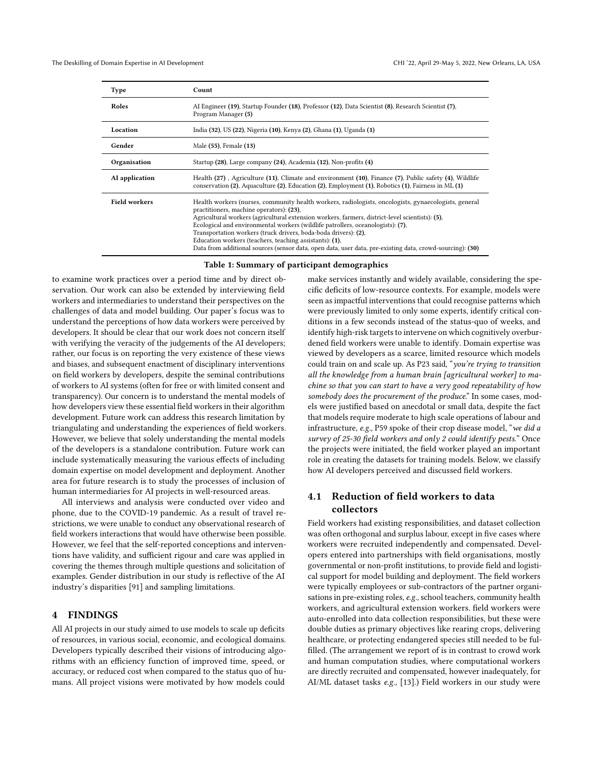<span id="page-4-0"></span>

| Type                 | Count                                                                                                                                                                                                                                                                                                                                                                                                                                                                                                                                                                             |
|----------------------|-----------------------------------------------------------------------------------------------------------------------------------------------------------------------------------------------------------------------------------------------------------------------------------------------------------------------------------------------------------------------------------------------------------------------------------------------------------------------------------------------------------------------------------------------------------------------------------|
| Roles                | AI Engineer (19), Startup Founder (18), Professor (12), Data Scientist (8), Research Scientist (7),<br>Program Manager (5)                                                                                                                                                                                                                                                                                                                                                                                                                                                        |
| Location             | India (32), US (22), Nigeria (10), Kenya (2), Ghana (1), Uganda (1)                                                                                                                                                                                                                                                                                                                                                                                                                                                                                                               |
| Gender               | Male (55), Female (13)                                                                                                                                                                                                                                                                                                                                                                                                                                                                                                                                                            |
| Organisation         | Startup (28), Large company (24), Academia (12), Non-profits (4)                                                                                                                                                                                                                                                                                                                                                                                                                                                                                                                  |
| AI application       | Health (27), Agriculture (11), Climate and environment (10), Finance (7), Public safety (4), Wildlife<br>conservation (2), Aquaculture (2), Education (2), Employment (1), Robotics (1), Fairness in ML (1)                                                                                                                                                                                                                                                                                                                                                                       |
| <b>Field workers</b> | Health workers (nurses, community health workers, radiologists, oncologists, gynaecologists, general<br>practitioners, machine operators): (23),<br>Agricultural workers (agricultural extension workers, farmers, district-level scientists): (5),<br>Ecological and environmental workers (wildlife patrollers, oceanologists): (7),<br>Transportation workers (truck drivers, boda-boda drivers): (2),<br>Education workers (teachers, teaching assistants): (1),<br>Data from additional sources (sensor data, open data, user data, pre-existing data, crowd-sourcing): (30) |

Table 1: Summary of participant demographics

to examine work practices over a period time and by direct observation. Our work can also be extended by interviewing field workers and intermediaries to understand their perspectives on the challenges of data and model building. Our paper's focus was to understand the perceptions of how data workers were perceived by developers. It should be clear that our work does not concern itself with verifying the veracity of the judgements of the AI developers; rather, our focus is on reporting the very existence of these views and biases, and subsequent enactment of disciplinary interventions on field workers by developers, despite the seminal contributions of workers to AI systems (often for free or with limited consent and transparency). Our concern is to understand the mental models of how developers view these essential field workers in their algorithm development. Future work can address this research limitation by triangulating and understanding the experiences of field workers. However, we believe that solely understanding the mental models of the developers is a standalone contribution. Future work can include systematically measuring the various effects of including domain expertise on model development and deployment. Another area for future research is to study the processes of inclusion of human intermediaries for AI projects in well-resourced areas.

All interviews and analysis were conducted over video and phone, due to the COVID-19 pandemic. As a result of travel restrictions, we were unable to conduct any observational research of field workers interactions that would have otherwise been possible. However, we feel that the self-reported conceptions and interventions have validity, and sufficient rigour and care was applied in covering the themes through multiple questions and solicitation of examples. Gender distribution in our study is reflective of the AI industry's disparities [\[91\]](#page-13-18) and sampling limitations.

# 4 FINDINGS

All AI projects in our study aimed to use models to scale up deficits of resources, in various social, economic, and ecological domains. Developers typically described their visions of introducing algorithms with an efficiency function of improved time, speed, or accuracy, or reduced cost when compared to the status quo of humans. All project visions were motivated by how models could

make services instantly and widely available, considering the specific deficits of low-resource contexts. For example, models were seen as impactful interventions that could recognise patterns which were previously limited to only some experts, identify critical conditions in a few seconds instead of the status-quo of weeks, and identify high-risk targets to intervene on which cognitively overburdened field workers were unable to identify. Domain expertise was viewed by developers as a scarce, limited resource which models could train on and scale up. As P23 said, "you're trying to transition all the knowledge from a human brain [agricultural worker] to machine so that you can start to have a very good repeatability of how somebody does the procurement of the produce." In some cases, models were justified based on anecdotal or small data, despite the fact that models require moderate to high scale operations of labour and infrastructure, e.g., P59 spoke of their crop disease model, "we did a survey of 25-30 field workers and only 2 could identify pests." Once the projects were initiated, the field worker played an important role in creating the datasets for training models. Below, we classify how AI developers perceived and discussed field workers.

# 4.1 Reduction of field workers to data collectors

Field workers had existing responsibilities, and dataset collection was often orthogonal and surplus labour, except in five cases where workers were recruited independently and compensated. Developers entered into partnerships with field organisations, mostly governmental or non-profit institutions, to provide field and logistical support for model building and deployment. The field workers were typically employees or sub-contractors of the partner organisations in pre-existing roles, e.g., school teachers, community health workers, and agricultural extension workers. field workers were auto-enrolled into data collection responsibilities, but these were double duties as primary objectives like rearing crops, delivering healthcare, or protecting endangered species still needed to be fulfilled. (The arrangement we report of is in contrast to crowd work and human computation studies, where computational workers are directly recruited and compensated, however inadequately, for AI/ML dataset tasks e.g., [\[13\]](#page-11-14).) Field workers in our study were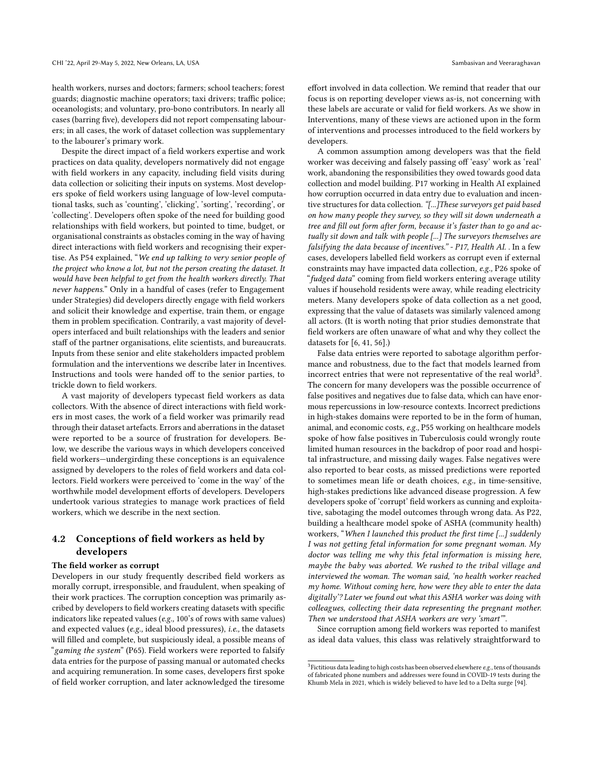health workers, nurses and doctors; farmers; school teachers; forest guards; diagnostic machine operators; taxi drivers; traffic police; oceanologists; and voluntary, pro-bono contributors. In nearly all cases (barring five), developers did not report compensating labourers; in all cases, the work of dataset collection was supplementary to the labourer's primary work.

Despite the direct impact of a field workers expertise and work practices on data quality, developers normatively did not engage with field workers in any capacity, including field visits during data collection or soliciting their inputs on systems. Most developers spoke of field workers using language of low-level computational tasks, such as 'counting', 'clicking', 'sorting', 'recording', or 'collecting'. Developers often spoke of the need for building good relationships with field workers, but pointed to time, budget, or organisational constraints as obstacles coming in the way of having direct interactions with field workers and recognising their expertise. As P54 explained, "We end up talking to very senior people of the project who know a lot, but not the person creating the dataset. It would have been helpful to get from the health workers directly. That never happens." Only in a handful of cases (refer to Engagement under [Strategies\)](#page-7-0) did developers directly engage with field workers and solicit their knowledge and expertise, train them, or engage them in problem specification. Contrarily, a vast majority of developers interfaced and built relationships with the leaders and senior staff of the partner organisations, elite scientists, and bureaucrats. Inputs from these senior and elite stakeholders impacted problem formulation and the interventions we describe later in [Incentives.](#page-7-0) Instructions and tools were handed off to the senior parties, to trickle down to field workers.

A vast majority of developers typecast field workers as data collectors. With the absence of direct interactions with field workers in most cases, the work of a field worker was primarily read through their dataset artefacts. Errors and aberrations in the dataset were reported to be a source of frustration for developers. Below, we describe the various ways in which developers conceived field workers—undergirding these conceptions is an equivalence assigned by developers to the roles of field workers and data collectors. Field workers were perceived to 'come in the way' of the worthwhile model development efforts of developers. Developers undertook various strategies to manage work practices of field workers, which we describe in the next section.

# 4.2 Conceptions of field workers as held by developers

# The field worker as corrupt

Developers in our study frequently described field workers as morally corrupt, irresponsible, and fraudulent, when speaking of their work practices. The corruption conception was primarily ascribed by developers to field workers creating datasets with specific indicators like repeated values (e.g., 100's of rows with same values) and expected values (e.g., ideal blood pressures), i.e., the datasets will filled and complete, but suspiciously ideal, a possible means of "gaming the system" (P65). Field workers were reported to falsify data entries for the purpose of passing manual or automated checks and acquiring remuneration. In some cases, developers first spoke of field worker corruption, and later acknowledged the tiresome

effort involved in data collection. We remind that reader that our focus is on reporting developer views as-is, not concerning with these labels are accurate or valid for field workers. As we show in [Interventions,](#page-7-0) many of these views are actioned upon in the form of interventions and processes introduced to the field workers by developers.

A common assumption among developers was that the field worker was deceiving and falsely passing off 'easy' work as 'real' work, abandoning the responsibilities they owed towards good data collection and model building. P17 working in Health AI explained how corruption occurred in data entry due to evaluation and incentive structures for data collection. "[...]These surveyors get paid based on how many people they survey, so they will sit down underneath a tree and fill out form after form, because it's faster than to go and actually sit down and talk with people [...] The surveyors themselves are falsifying the data because of incentives." - P17, Health AI. . In a few cases, developers labelled field workers as corrupt even if external constraints may have impacted data collection, e.g., P26 spoke of "fudged data" coming from field workers entering average utility values if household residents were away, while reading electricity meters. Many developers spoke of data collection as a net good, expressing that the value of datasets was similarly valenced among all actors. (It is worth noting that prior studies demonstrate that field workers are often unaware of what and why they collect the datasets for [\[6,](#page-11-15) [41,](#page-12-3) [56\]](#page-12-4).)

False data entries were reported to sabotage algorithm performance and robustness, due to the fact that models learned from incorrect entries that were not representative of the real world<sup>[3](#page-5-0)</sup>. The concern for many developers was the possible occurrence of false positives and negatives due to false data, which can have enormous repercussions in low-resource contexts. Incorrect predictions in high-stakes domains were reported to be in the form of human, animal, and economic costs, e.g., P55 working on healthcare models spoke of how false positives in Tuberculosis could wrongly route limited human resources in the backdrop of poor road and hospital infrastructure, and missing daily wages. False negatives were also reported to bear costs, as missed predictions were reported to sometimes mean life or death choices, e.g., in time-sensitive, high-stakes predictions like advanced disease progression. A few developers spoke of 'corrupt' field workers as cunning and exploitative, sabotaging the model outcomes through wrong data. As P22, building a healthcare model spoke of ASHA (community health) workers, "When I launched this product the first time [...] suddenly I was not getting fetal information for some pregnant woman. My doctor was telling me why this fetal information is missing here, maybe the baby was aborted. We rushed to the tribal village and interviewed the woman. The woman said, 'no health worker reached my home. Without coming here, how were they able to enter the data digitally'? Later we found out what this ASHA worker was doing with colleagues, collecting their data representing the pregnant mother. Then we understood that ASHA workers are very 'smart'".

Since corruption among field workers was reported to manifest as ideal data values, this class was relatively straightforward to

<span id="page-5-0"></span> $3$  Fictitious data leading to high costs has been observed elsewhere  $e.g.,$  tens of thousands of fabricated phone numbers and addresses were found in COVID-19 tests during the Khumb Mela in 2021, which is widely believed to have led to a Delta surge [\[94\]](#page-13-19).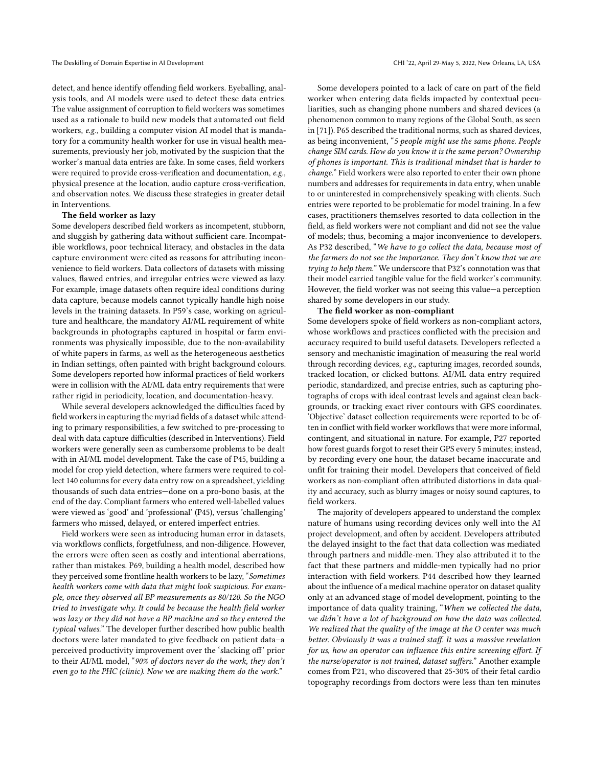detect, and hence identify offending field workers. Eyeballing, analysis tools, and AI models were used to detect these data entries. The value assignment of corruption to field workers was sometimes used as a rationale to build new models that automated out field workers, e.g., building a computer vision AI model that is mandatory for a community health worker for use in visual health measurements, previously her job, motivated by the suspicion that the worker's manual data entries are fake. In some cases, field workers were required to provide cross-verification and documentation, e.g., physical presence at the location, audio capture cross-verification, and observation notes. We discuss these strategies in greater detail in [Interventions.](#page-7-0)

#### The field worker as lazy

Some developers described field workers as incompetent, stubborn, and sluggish by gathering data without sufficient care. Incompatible workflows, poor technical literacy, and obstacles in the data capture environment were cited as reasons for attributing inconvenience to field workers. Data collectors of datasets with missing values, flawed entries, and irregular entries were viewed as lazy. For example, image datasets often require ideal conditions during data capture, because models cannot typically handle high noise levels in the training datasets. In P59's case, working on agriculture and healthcare, the mandatory AI/ML requirement of white backgrounds in photographs captured in hospital or farm environments was physically impossible, due to the non-availability of white papers in farms, as well as the heterogeneous aesthetics in Indian settings, often painted with bright background colours. Some developers reported how informal practices of field workers were in collision with the AI/ML data entry requirements that were rather rigid in periodicity, location, and documentation-heavy.

While several developers acknowledged the difficulties faced by field workers in capturing the myriad fields of a dataset while attending to primary responsibilities, a few switched to pre-processing to deal with data capture difficulties (described in [Interventions\)](#page-7-0). Field workers were generally seen as cumbersome problems to be dealt with in AI/ML model development. Take the case of P45, building a model for crop yield detection, where farmers were required to collect 140 columns for every data entry row on a spreadsheet, yielding thousands of such data entries—done on a pro-bono basis, at the end of the day. Compliant farmers who entered well-labelled values were viewed as 'good' and 'professional' (P45), versus 'challenging' farmers who missed, delayed, or entered imperfect entries.

Field workers were seen as introducing human error in datasets, via workflows conflicts, forgetfulness, and non-diligence. However, the errors were often seen as costly and intentional aberrations, rather than mistakes. P69, building a health model, described how they perceived some frontline health workers to be lazy, "Sometimes health workers come with data that might look suspicious. For example, once they observed all BP measurements as 80/120. So the NGO tried to investigate why. It could be because the health field worker was lazy or they did not have a BP machine and so they entered the typical values." The developer further described how public health doctors were later mandated to give feedback on patient data–a perceived productivity improvement over the 'slacking off' prior to their AI/ML model, "90% of doctors never do the work, they don't even go to the PHC (clinic). Now we are making them do the work."

Some developers pointed to a lack of care on part of the field worker when entering data fields impacted by contextual peculiarities, such as changing phone numbers and shared devices (a phenomenon common to many regions of the Global South, as seen in [\[71\]](#page-12-42)). P65 described the traditional norms, such as shared devices, as being inconvenient, "5 people might use the same phone. People change SIM cards. How do you know it is the same person? Ownership of phones is important. This is traditional mindset that is harder to change." Field workers were also reported to enter their own phone numbers and addresses for requirements in data entry, when unable to or uninterested in comprehensively speaking with clients. Such entries were reported to be problematic for model training. In a few cases, practitioners themselves resorted to data collection in the field, as field workers were not compliant and did not see the value of models; thus, becoming a major inconvenience to developers. As P32 described, "We have to go collect the data, because most of the farmers do not see the importance. They don't know that we are trying to help them." We underscore that P32's connotation was that their model carried tangible value for the field worker's community. However, the field worker was not seeing this value—a perception shared by some developers in our study.

#### The field worker as non-compliant

Some developers spoke of field workers as non-compliant actors, whose workflows and practices conflicted with the precision and accuracy required to build useful datasets. Developers reflected a sensory and mechanistic imagination of measuring the real world through recording devices, e.g., capturing images, recorded sounds, tracked location, or clicked buttons. AI/ML data entry required periodic, standardized, and precise entries, such as capturing photographs of crops with ideal contrast levels and against clean backgrounds, or tracking exact river contours with GPS coordinates. 'Objective' dataset collection requirements were reported to be often in conflict with field worker workflows that were more informal, contingent, and situational in nature. For example, P27 reported how forest guards forgot to reset their GPS every 5 minutes; instead, by recording every one hour, the dataset became inaccurate and unfit for training their model. Developers that conceived of field workers as non-compliant often attributed distortions in data quality and accuracy, such as blurry images or noisy sound captures, to field workers.

The majority of developers appeared to understand the complex nature of humans using recording devices only well into the AI project development, and often by accident. Developers attributed the delayed insight to the fact that data collection was mediated through partners and middle-men. They also attributed it to the fact that these partners and middle-men typically had no prior interaction with field workers. P44 described how they learned about the influence of a medical machine operator on dataset quality only at an advanced stage of model development, pointing to the importance of data quality training, "When we collected the data, we didn't have a lot of background on how the data was collected. We realized that the quality of the image at the O center was much better. Obviously it was a trained staff. It was a massive revelation for us, how an operator can influence this entire screening effort. If the nurse/operator is not trained, dataset suffers." Another example comes from P21, who discovered that 25-30% of their fetal cardio topography recordings from doctors were less than ten minutes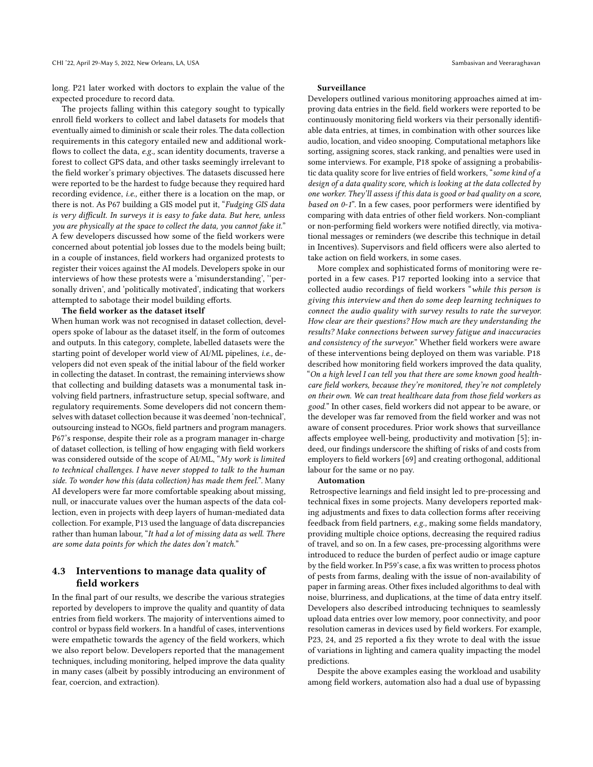long. P21 later worked with doctors to explain the value of the expected procedure to record data.

The projects falling within this category sought to typically enroll field workers to collect and label datasets for models that eventually aimed to diminish or scale their roles. The data collection requirements in this category entailed new and additional workflows to collect the data, e.g., scan identity documents, traverse a forest to collect GPS data, and other tasks seemingly irrelevant to the field worker's primary objectives. The datasets discussed here were reported to be the hardest to fudge because they required hard recording evidence, i.e., either there is a location on the map, or there is not. As P67 building a GIS model put it, "Fudging GIS data is very difficult. In surveys it is easy to fake data. But here, unless you are physically at the space to collect the data, you cannot fake it." A few developers discussed how some of the field workers were concerned about potential job losses due to the models being built; in a couple of instances, field workers had organized protests to register their voices against the AI models. Developers spoke in our interviews of how these protests were a 'misunderstanding', ''personally driven', and 'politically motivated', indicating that workers attempted to sabotage their model building efforts.

### The field worker as the dataset itself

When human work was not recognised in dataset collection, developers spoke of labour as the dataset itself, in the form of outcomes and outputs. In this category, complete, labelled datasets were the starting point of developer world view of AI/ML pipelines, i.e., developers did not even speak of the initial labour of the field worker in collecting the dataset. In contrast, the remaining interviews show that collecting and building datasets was a monumental task involving field partners, infrastructure setup, special software, and regulatory requirements. Some developers did not concern themselves with dataset collection because it was deemed 'non-technical', outsourcing instead to NGOs, field partners and program managers. P67's response, despite their role as a program manager in-charge of dataset collection, is telling of how engaging with field workers was considered outside of the scope of AI/ML, "My work is limited to technical challenges. I have never stopped to talk to the human side. To wonder how this (data collection) has made them feel.". Many AI developers were far more comfortable speaking about missing, null, or inaccurate values over the human aspects of the data collection, even in projects with deep layers of human-mediated data collection. For example, P13 used the language of data discrepancies rather than human labour, "It had a lot of missing data as well. There are some data points for which the dates don't match."

# <span id="page-7-0"></span>4.3 Interventions to manage data quality of field workers

In the final part of our results, we describe the various strategies reported by developers to improve the quality and quantity of data entries from field workers. The majority of interventions aimed to control or bypass field workers. In a handful of cases, interventions were empathetic towards the agency of the field workers, which we also report below. Developers reported that the management techniques, including monitoring, helped improve the data quality in many cases (albeit by possibly introducing an environment of fear, coercion, and extraction).

### Surveillance

Developers outlined various monitoring approaches aimed at improving data entries in the field. field workers were reported to be continuously monitoring field workers via their personally identifiable data entries, at times, in combination with other sources like audio, location, and video snooping. Computational metaphors like sorting, assigning scores, stack ranking, and penalties were used in some interviews. For example, P18 spoke of assigning a probabilistic data quality score for live entries of field workers, "some kind of a design of a data quality score, which is looking at the data collected by one worker. They'll assess if this data is good or bad quality on a score, based on 0-1". In a few cases, poor performers were identified by comparing with data entries of other field workers. Non-compliant or non-performing field workers were notified directly, via motivational messages or reminders (we describe this technique in detail in [Incentives\)](#page-7-0). Supervisors and field officers were also alerted to take action on field workers, in some cases.

More complex and sophisticated forms of monitoring were reported in a few cases. P17 reported looking into a service that collected audio recordings of field workers "while this person is giving this interview and then do some deep learning techniques to connect the audio quality with survey results to rate the surveyor. How clear are their questions? How much are they understanding the results? Make connections between survey fatigue and inaccuracies and consistency of the surveyor." Whether field workers were aware of these interventions being deployed on them was variable. P18 described how monitoring field workers improved the data quality, "On a high level I can tell you that there are some known good healthcare field workers, because they're monitored, they're not completely on their own. We can treat healthcare data from those field workers as good." In other cases, field workers did not appear to be aware, or the developer was far removed from the field worker and was not aware of consent procedures. Prior work shows that surveillance affects employee well-being, productivity and motivation [\[5\]](#page-11-16); indeed, our findings underscore the shifting of risks of and costs from employers to field workers [\[69\]](#page-12-43) and creating orthogonal, additional labour for the same or no pay.

#### Automation

Retrospective learnings and field insight led to pre-processing and technical fixes in some projects. Many developers reported making adjustments and fixes to data collection forms after receiving feedback from field partners, e.g., making some fields mandatory, providing multiple choice options, decreasing the required radius of travel, and so on. In a few cases, pre-processing algorithms were introduced to reduce the burden of perfect audio or image capture by the field worker. In P59's case, a fix was written to process photos of pests from farms, dealing with the issue of non-availability of paper in farming areas. Other fixes included algorithms to deal with noise, blurriness, and duplications, at the time of data entry itself. Developers also described introducing techniques to seamlessly upload data entries over low memory, poor connectivity, and poor resolution cameras in devices used by field workers. For example, P23, 24, and 25 reported a fix they wrote to deal with the issue of variations in lighting and camera quality impacting the model predictions.

Despite the above examples easing the workload and usability among field workers, automation also had a dual use of bypassing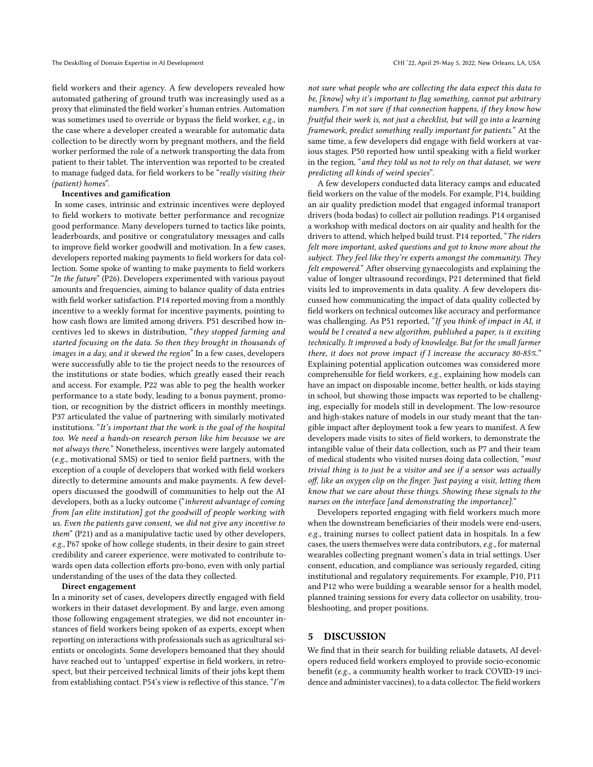field workers and their agency. A few developers revealed how automated gathering of ground truth was increasingly used as a proxy that eliminated the field worker's human entries. Automation was sometimes used to override or bypass the field worker, e.g., in the case where a developer created a wearable for automatic data collection to be directly worn by pregnant mothers, and the field worker performed the role of a network transporting the data from patient to their tablet. The intervention was reported to be created to manage fudged data, for field workers to be "really visiting their (patient) homes".

#### Incentives and gamification

In some cases, intrinsic and extrinsic incentives were deployed to field workers to motivate better performance and recognize good performance. Many developers turned to tactics like points, leaderboards, and positive or congratulatory messages and calls to improve field worker goodwill and motivation. In a few cases, developers reported making payments to field workers for data collection. Some spoke of wanting to make payments to field workers "In the future" (P26). Developers experimented with various payout amounts and frequencies, aiming to balance quality of data entries with field worker satisfaction. P14 reported moving from a monthly incentive to a weekly format for incentive payments, pointing to how cash flows are limited among drivers. P51 described how incentives led to skews in distribution, "they stopped farming and started focusing on the data. So then they brought in thousands of images in a day, and it skewed the region" In a few cases, developers were successfully able to tie the project needs to the resources of the institutions or state bodies, which greatly eased their reach and access. For example, P22 was able to peg the health worker performance to a state body, leading to a bonus payment, promotion, or recognition by the district officers in monthly meetings. P37 articulated the value of partnering with similarly motivated institutions. "It's important that the work is the goal of the hospital too. We need a hands-on research person like him because we are not always there." Nonetheless, incentives were largely automated (e.g., motivational SMS) or tied to senior field partners, with the exception of a couple of developers that worked with field workers directly to determine amounts and make payments. A few developers discussed the goodwill of communities to help out the AI developers, both as a lucky outcome ("inherent advantage of coming from [an elite institution] got the goodwill of people working with us. Even the patients gave consent, we did not give any incentive to them" (P21) and as a manipulative tactic used by other developers, e.g., P67 spoke of how college students, in their desire to gain street credibility and career experience, were motivated to contribute towards open data collection efforts pro-bono, even with only partial understanding of the uses of the data they collected.

### Direct engagement

In a minority set of cases, developers directly engaged with field workers in their dataset development. By and large, even among those following engagement strategies, we did not encounter instances of field workers being spoken of as experts, except when reporting on interactions with professionals such as agricultural scientists or oncologists. Some developers bemoaned that they should have reached out to 'untapped' expertise in field workers, in retrospect, but their perceived technical limits of their jobs kept them from establishing contact. P54's view is reflective of this stance, "I'm

not sure what people who are collecting the data expect this data to be, [know] why it's important to flag something, cannot put arbitrary numbers. I'm not sure if that connection happens, if they know how fruitful their work is, not just a checklist, but will go into a learning framework, predict something really important for patients." At the same time, a few developers did engage with field workers at various stages. P50 reported how until speaking with a field worker in the region, "and they told us not to rely on that dataset, we were predicting all kinds of weird species".

A few developers conducted data literacy camps and educated field workers on the value of the models. For example, P14, building an air quality prediction model that engaged informal transport drivers (boda bodas) to collect air pollution readings. P14 organised a workshop with medical doctors on air quality and health for the drivers to attend, which helped build trust. P14 reported, "The riders felt more important, asked questions and got to know more about the subject. They feel like they're experts amongst the community. They felt empowered." After observing gynaecologists and explaining the value of longer ultrasound recordings, P21 determined that field visits led to improvements in data quality. A few developers discussed how communicating the impact of data quality collected by field workers on technical outcomes like accuracy and performance was challenging. As P51 reported, "If you think of impact in AI, it would be I created a new algorithm, published a paper, is it exciting technically. It improved a body of knowledge. But for the small farmer there, it does not prove impact if I increase the accuracy 80-85%." Explaining potential application outcomes was considered more comprehensible for field workers, e.g., explaining how models can have an impact on disposable income, better health, or kids staying in school, but showing those impacts was reported to be challenging, especially for models still in development. The low-resource and high-stakes nature of models in our study meant that the tangible impact after deployment took a few years to manifest. A few developers made visits to sites of field workers, to demonstrate the intangible value of their data collection, such as P7 and their team of medical students who visited nurses doing data collection, "most trivial thing is to just be a visitor and see if a sensor was actually off, like an oxygen clip on the finger. Just paying a visit, letting them know that we care about these things. Showing these signals to the nurses on the interface [and demonstrating the importance]."

Developers reported engaging with field workers much more when the downstream beneficiaries of their models were end-users, e.g., training nurses to collect patient data in hospitals. In a few cases, the users themselves were data contributors, e.g., for maternal wearables collecting pregnant women's data in trial settings. User consent, education, and compliance was seriously regarded, citing institutional and regulatory requirements. For example, P10, P11 and P12 who were building a wearable sensor for a health model, planned training sessions for every data collector on usability, troubleshooting, and proper positions.

### <span id="page-8-0"></span>5 DISCUSSION

We find that in their search for building reliable datasets, AI developers reduced field workers employed to provide socio-economic benefit (e.g., a community health worker to track COVID-19 incidence and administer vaccines), to a data collector. The field workers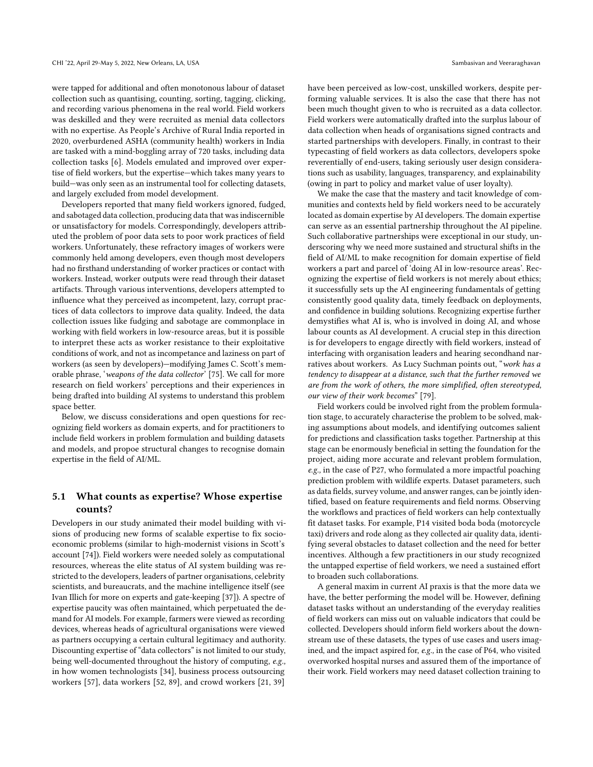were tapped for additional and often monotonous labour of dataset collection such as quantising, counting, sorting, tagging, clicking, and recording various phenomena in the real world. Field workers was deskilled and they were recruited as menial data collectors with no expertise. As People's Archive of Rural India reported in 2020, overburdened ASHA (community health) workers in India are tasked with a mind-boggling array of 720 tasks, including data collection tasks [\[6\]](#page-11-15). Models emulated and improved over expertise of field workers, but the expertise—which takes many years to build—was only seen as an instrumental tool for collecting datasets, and largely excluded from model development.

Developers reported that many field workers ignored, fudged, and sabotaged data collection, producing data that was indiscernible or unsatisfactory for models. Correspondingly, developers attributed the problem of poor data sets to poor work practices of field workers. Unfortunately, these refractory images of workers were commonly held among developers, even though most developers had no firsthand understanding of worker practices or contact with workers. Instead, worker outputs were read through their dataset artifacts. Through various interventions, developers attempted to influence what they perceived as incompetent, lazy, corrupt practices of data collectors to improve data quality. Indeed, the data collection issues like fudging and sabotage are commonplace in working with field workers in low-resource areas, but it is possible to interpret these acts as worker resistance to their exploitative conditions of work, and not as incompetance and laziness on part of workers (as seen by developers)—modifying James C. Scott's memorable phrase, 'weapons of the data collector' [\[75\]](#page-12-44). We call for more research on field workers' perceptions and their experiences in being drafted into building AI systems to understand this problem space better.

Below, we discuss considerations and open questions for recognizing field workers as domain experts, and for practitioners to include field workers in problem formulation and building datasets and models, and propoe structural changes to recognise domain expertise in the field of AI/ML.

# 5.1 What counts as expertise? Whose expertise counts?

Developers in our study animated their model building with visions of producing new forms of scalable expertise to fix socioeconomic problems (similar to high-modernist visions in Scott's account [\[74\]](#page-12-22)). Field workers were needed solely as computational resources, whereas the elite status of AI system building was restricted to the developers, leaders of partner organisations, celebrity scientists, and bureaucrats, and the machine intelligence itself (see Ivan Illich for more on experts and gate-keeping [\[37\]](#page-12-45)). A spectre of expertise paucity was often maintained, which perpetuated the demand for AI models. For example, farmers were viewed as recording devices, whereas heads of agricultural organisations were viewed as partners occupying a certain cultural legitimacy and authority. Discounting expertise of "data collectors" is not limited to our study, being well-documented throughout the history of computing, e.g., in how women technologists [\[34\]](#page-12-2), business process outsourcing workers [\[57\]](#page-12-46), data workers [\[52,](#page-12-9) [89\]](#page-13-12), and crowd workers [\[21,](#page-12-5) [39\]](#page-12-8)

have been perceived as low-cost, unskilled workers, despite performing valuable services. It is also the case that there has not been much thought given to who is recruited as a data collector. Field workers were automatically drafted into the surplus labour of data collection when heads of organisations signed contracts and started partnerships with developers. Finally, in contrast to their typecasting of field workers as data collectors, developers spoke reverentially of end-users, taking seriously user design considerations such as usability, languages, transparency, and explainability (owing in part to policy and market value of user loyalty).

We make the case that the mastery and tacit knowledge of communities and contexts held by field workers need to be accurately located as domain expertise by AI developers. The domain expertise can serve as an essential partnership throughout the AI pipeline. Such collaborative partnerships were exceptional in our study, underscoring why we need more sustained and structural shifts in the field of AI/ML to make recognition for domain expertise of field workers a part and parcel of 'doing AI in low-resource areas'. Recognizing the expertise of field workers is not merely about ethics; it successfully sets up the AI engineering fundamentals of getting consistently good quality data, timely feedback on deployments, and confidence in building solutions. Recognizing expertise further demystifies what AI is, who is involved in doing AI, and whose labour counts as AI development. A crucial step in this direction is for developers to engage directly with field workers, instead of interfacing with organisation leaders and hearing secondhand narratives about workers. As Lucy Suchman points out, "work has a tendency to disappear at a distance, such that the further removed we are from the work of others, the more simplified, often stereotyped, our view of their work becomes" [\[79\]](#page-13-3).

Field workers could be involved right from the problem formulation stage, to accurately characterise the problem to be solved, making assumptions about models, and identifying outcomes salient for predictions and classification tasks together. Partnership at this stage can be enormously beneficial in setting the foundation for the project, aiding more accurate and relevant problem formulation, e.g., in the case of P27, who formulated a more impactful poaching prediction problem with wildlife experts. Dataset parameters, such as data fields, survey volume, and answer ranges, can be jointly identified, based on feature requirements and field norms. Observing the workflows and practices of field workers can help contextually fit dataset tasks. For example, P14 visited boda boda (motorcycle taxi) drivers and rode along as they collected air quality data, identifying several obstacles to dataset collection and the need for better incentives. Although a few practitioners in our study recognized the untapped expertise of field workers, we need a sustained effort to broaden such collaborations.

A general maxim in current AI praxis is that the more data we have, the better performing the model will be. However, defining dataset tasks without an understanding of the everyday realities of field workers can miss out on valuable indicators that could be collected. Developers should inform field workers about the downstream use of these datasets, the types of use cases and users imagined, and the impact aspired for, e.g., in the case of P64, who visited overworked hospital nurses and assured them of the importance of their work. Field workers may need dataset collection training to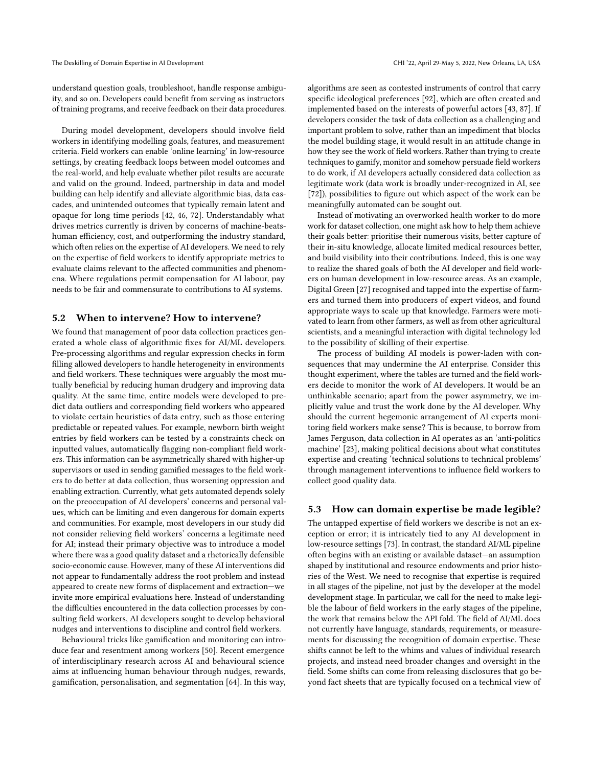understand question goals, troubleshoot, handle response ambiguity, and so on. Developers could benefit from serving as instructors of training programs, and receive feedback on their data procedures.

During model development, developers should involve field workers in identifying modelling goals, features, and measurement criteria. Field workers can enable 'online learning' in low-resource settings, by creating feedback loops between model outcomes and the real-world, and help evaluate whether pilot results are accurate and valid on the ground. Indeed, partnership in data and model building can help identify and alleviate algorithmic bias, data cascades, and unintended outcomes that typically remain latent and opaque for long time periods [\[42,](#page-12-47) [46,](#page-12-48) [72\]](#page-12-31). Understandably what drives metrics currently is driven by concerns of machine-beatshuman efficiency, cost, and outperforming the industry standard, which often relies on the expertise of AI developers. We need to rely on the expertise of field workers to identify appropriate metrics to evaluate claims relevant to the affected communities and phenomena. Where regulations permit compensation for AI labour, pay needs to be fair and commensurate to contributions to AI systems.

# 5.2 When to intervene? How to intervene?

We found that management of poor data collection practices generated a whole class of algorithmic fixes for AI/ML developers. Pre-processing algorithms and regular expression checks in form filling allowed developers to handle heterogeneity in environments and field workers. These techniques were arguably the most mutually beneficial by reducing human drudgery and improving data quality. At the same time, entire models were developed to predict data outliers and corresponding field workers who appeared to violate certain heuristics of data entry, such as those entering predictable or repeated values. For example, newborn birth weight entries by field workers can be tested by a constraints check on inputted values, automatically flagging non-compliant field workers. This information can be asymmetrically shared with higher-up supervisors or used in sending gamified messages to the field workers to do better at data collection, thus worsening oppression and enabling extraction. Currently, what gets automated depends solely on the preoccupation of AI developers' concerns and personal values, which can be limiting and even dangerous for domain experts and communities. For example, most developers in our study did not consider relieving field workers' concerns a legitimate need for AI; instead their primary objective was to introduce a model where there was a good quality dataset and a rhetorically defensible socio-economic cause. However, many of these AI interventions did not appear to fundamentally address the root problem and instead appeared to create new forms of displacement and extraction—we invite more empirical evaluations here. Instead of understanding the difficulties encountered in the data collection processes by consulting field workers, AI developers sought to develop behavioral nudges and interventions to discipline and control field workers.

Behavioural tricks like gamification and monitoring can introduce fear and resentment among workers [\[50\]](#page-12-49). Recent emergence of interdisciplinary research across AI and behavioural science aims at influencing human behaviour through nudges, rewards, gamification, personalisation, and segmentation [\[64\]](#page-12-50). In this way, algorithms are seen as contested instruments of control that carry specific ideological preferences [\[92\]](#page-13-20), which are often created and implemented based on the interests of powerful actors [\[43,](#page-12-51) [87\]](#page-13-16). If developers consider the task of data collection as a challenging and important problem to solve, rather than an impediment that blocks the model building stage, it would result in an attitude change in how they see the work of field workers. Rather than trying to create techniques to gamify, monitor and somehow persuade field workers to do work, if AI developers actually considered data collection as legitimate work (data work is broadly under-recognized in AI, see [\[72\]](#page-12-31)), possibilities to figure out which aspect of the work can be meaningfully automated can be sought out.

Instead of motivating an overworked health worker to do more work for dataset collection, one might ask how to help them achieve their goals better: prioritise their numerous visits, better capture of their in-situ knowledge, allocate limited medical resources better, and build visibility into their contributions. Indeed, this is one way to realize the shared goals of both the AI developer and field workers on human development in low-resource areas. As an example, Digital Green [\[27\]](#page-12-36) recognised and tapped into the expertise of farmers and turned them into producers of expert videos, and found appropriate ways to scale up that knowledge. Farmers were motivated to learn from other farmers, as well as from other agricultural scientists, and a meaningful interaction with digital technology led to the possibility of skilling of their expertise.

The process of building AI models is power-laden with consequences that may undermine the AI enterprise. Consider this thought experiment, where the tables are turned and the field workers decide to monitor the work of AI developers. It would be an unthinkable scenario; apart from the power asymmetry, we implicitly value and trust the work done by the AI developer. Why should the current hegemonic arrangement of AI experts monitoring field workers make sense? This is because, to borrow from James Ferguson, data collection in AI operates as an 'anti-politics machine' [\[23\]](#page-12-52), making political decisions about what constitutes expertise and creating 'technical solutions to technical problems' through management interventions to influence field workers to collect good quality data.

### 5.3 How can domain expertise be made legible?

The untapped expertise of field workers we describe is not an exception or error; it is intricately tied to any AI development in low-resource settings [\[73\]](#page-12-53). In contrast, the standard AI/ML pipeline often begins with an existing or available dataset—an assumption shaped by institutional and resource endowments and prior histories of the West. We need to recognise that expertise is required in all stages of the pipeline, not just by the developer at the model development stage. In particular, we call for the need to make legible the labour of field workers in the early stages of the pipeline, the work that remains below the API fold. The field of AI/ML does not currently have language, standards, requirements, or measurements for discussing the recognition of domain expertise. These shifts cannot be left to the whims and values of individual research projects, and instead need broader changes and oversight in the field. Some shifts can come from releasing disclosures that go beyond fact sheets that are typically focused on a technical view of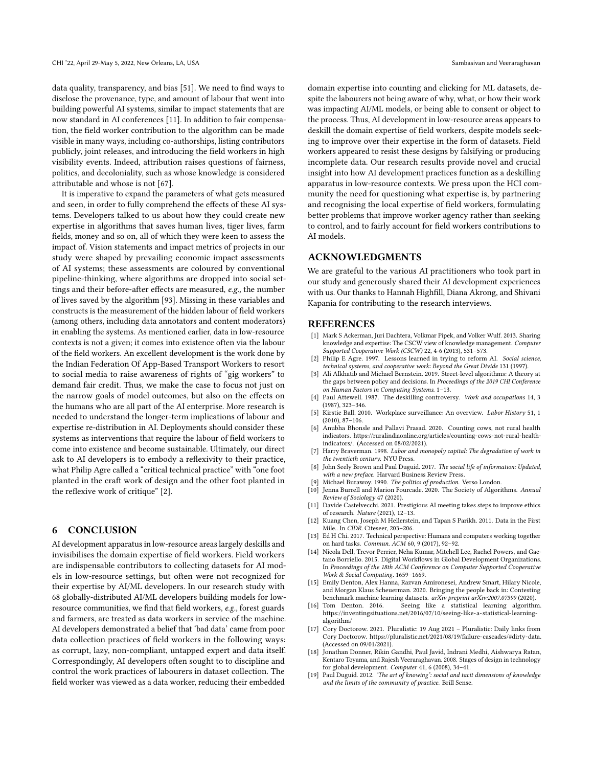data quality, transparency, and bias [\[51\]](#page-12-54). We need to find ways to disclose the provenance, type, and amount of labour that went into building powerful AI systems, similar to impact statements that are now standard in AI conferences [\[11\]](#page-11-17). In addition to fair compensation, the field worker contribution to the algorithm can be made visible in many ways, including co-authorships, listing contributors publicly, joint releases, and introducing the field workers in high visibility events. Indeed, attribution raises questions of fairness, politics, and decoloniality, such as whose knowledge is considered attributable and whose is not [\[67\]](#page-12-55).

It is imperative to expand the parameters of what gets measured and seen, in order to fully comprehend the effects of these AI systems. Developers talked to us about how they could create new expertise in algorithms that saves human lives, tiger lives, farm fields, money and so on, all of which they were keen to assess the impact of. Vision statements and impact metrics of projects in our study were shaped by prevailing economic impact assessments of AI systems; these assessments are coloured by conventional pipeline-thinking, where algorithms are dropped into social settings and their before-after effects are measured, e.g., the number of lives saved by the algorithm [\[93\]](#page-13-21). Missing in these variables and constructs is the measurement of the hidden labour of field workers (among others, including data annotators and content moderators) in enabling the systems. As mentioned earlier, data in low-resource contexts is not a given; it comes into existence often via the labour of the field workers. An excellent development is the work done by the Indian Federation Of App-Based Transport Workers to resort to social media to raise awareness of rights of "gig workers" to demand fair credit. Thus, we make the case to focus not just on the narrow goals of model outcomes, but also on the effects on the humans who are all part of the AI enterprise. More research is needed to understand the longer-term implications of labour and expertise re-distribution in AI. Deployments should consider these systems as interventions that require the labour of field workers to come into existence and become sustainable. Ultimately, our direct ask to AI developers is to embody a reflexivity to their practice, what Philip Agre called a "critical technical practice" with "one foot planted in the craft work of design and the other foot planted in the reflexive work of critique" [\[2\]](#page-11-18).

# 6 CONCLUSION

AI development apparatus in low-resource areas largely deskills and invisibilises the domain expertise of field workers. Field workers are indispensable contributors to collecting datasets for AI models in low-resource settings, but often were not recognized for their expertise by AI/ML developers. In our research study with 68 globally-distributed AI/ML developers building models for lowresource communities, we find that field workers, e.g., forest guards and farmers, are treated as data workers in service of the machine. AI developers demonstrated a belief that 'bad data' came from poor data collection practices of field workers in the following ways: as corrupt, lazy, non-compliant, untapped expert and data itself. Correspondingly, AI developers often sought to to discipline and control the work practices of labourers in dataset collection. The field worker was viewed as a data worker, reducing their embedded

domain expertise into counting and clicking for ML datasets, despite the labourers not being aware of why, what, or how their work was impacting AI/ML models, or being able to consent or object to the process. Thus, AI development in low-resource areas appears to deskill the domain expertise of field workers, despite models seeking to improve over their expertise in the form of datasets. Field workers appeared to resist these designs by falsifying or producing incomplete data. Our research results provide novel and crucial insight into how AI development practices function as a deskilling apparatus in low-resource contexts. We press upon the HCI community the need for questioning what expertise is, by partnering and recognising the local expertise of field workers, formulating better problems that improve worker agency rather than seeking to control, and to fairly account for field workers contributions to AI models.

# ACKNOWLEDGMENTS

We are grateful to the various AI practitioners who took part in our study and generously shared their AI development experiences with us. Our thanks to Hannah Highfill, Diana Akrong, and Shivani Kapania for contributing to the research interviews.

### REFERENCES

- <span id="page-11-7"></span>[1] Mark S Ackerman, Juri Dachtera, Volkmar Pipek, and Volker Wulf. 2013. Sharing knowledge and expertise: The CSCW view of knowledge management. Computer Supported Cooperative Work (CSCW) 22, 4-6 (2013), 531–573.
- <span id="page-11-18"></span>[2] Philip E Agre. 1997. Lessons learned in trying to reform AI. Social science, technical systems, and cooperative work: Beyond the Great Divide 131 (1997).
- <span id="page-11-9"></span>[3] Ali Alkhatib and Michael Bernstein. 2019. Street-level algorithms: A theory at the gaps between policy and decisions. In Proceedings of the 2019 CHI Conference on Human Factors in Computing Systems. 1–13.
- <span id="page-11-4"></span>[4] Paul Attewell. 1987. The deskilling controversy. Work and occupations 14, 3 (1987), 323–346.
- <span id="page-11-16"></span>[5] Kirstie Ball. 2010. Workplace surveillance: An overview. Labor History 51, 1 (2010), 87–106.
- <span id="page-11-15"></span>[6] Anubha Bhonsle and Pallavi Prasad. 2020. Counting cows, not rural health indicators. [https://ruralindiaonline.org/articles/counting-cows-not-rural-health](https://ruralindiaonline.org/articles/counting-cows-not-rural-health-indicators/)[indicators/.](https://ruralindiaonline.org/articles/counting-cows-not-rural-health-indicators/) (Accessed on 08/02/2021).
- <span id="page-11-2"></span>[7] Harry Braverman, 1998. Labor and monopoly capital: The degradation of work in the twentieth century. NYU Press.
- <span id="page-11-11"></span>[8] John Seely Brown and Paul Duguid. 2017. The social life of information: Updated, with a new preface. Harvard Business Review Press.
- <span id="page-11-5"></span>[9] Michael Burawoy. 1990. The politics of production. Verso London.<br>[10] Jenna Burrell and Marion Fourcade. 2020. The Society of Algori
- <span id="page-11-3"></span>Jenna Burrell and Marion Fourcade. 2020. The Society of Algorithms. Annual Review of Sociology 47 (2020).
- <span id="page-11-17"></span>[11] Davide Castelvecchi. 2021. Prestigious AI meeting takes steps to improve ethics of research. Nature (2021), 12–13.
- <span id="page-11-12"></span>[12] Kuang Chen, Joseph M Hellerstein, and Tapan S Parikh. 2011. Data in the First Mile.. In CIDR. Citeseer, 203–206.
- <span id="page-11-14"></span>[13] Ed H Chi. 2017. Technical perspective: Humans and computers working together on hard tasks. Commun. ACM 60, 9 (2017), 92–92.
- <span id="page-11-10"></span>[14] Nicola Dell, Trevor Perrier, Neha Kumar, Mitchell Lee, Rachel Powers, and Gaetano Borriello. 2015. Digital Workflows in Global Development Organizations. In Proceedings of the 18th ACM Conference on Computer Supported Cooperative Work & Social Computing. 1659–1669.
- <span id="page-11-1"></span>[15] Emily Denton, Alex Hanna, Razvan Amironesei, Andrew Smart, Hilary Nicole, and Morgan Klaus Scheuerman. 2020. Bringing the people back in: Contesting benchmark machine learning datasets. *arXiv preprint arXiv:2007.07399* (2020).<br>[16] Tom Denton. 2016. Seeing like a statistical learning algorithm
- <span id="page-11-6"></span>Seeing like a statistical learning algorithm. [https://inventingsituations.net/2016/07/10/seeing-like-a-statistical-learning](https://inventingsituations.net/2016/07/10/seeing-like-a-statistical-learning-algorithm/)[algorithm/](https://inventingsituations.net/2016/07/10/seeing-like-a-statistical-learning-algorithm/)
- <span id="page-11-0"></span>[17] Cory Doctorow. 2021. Pluralistic: 19 Aug 2021 – Pluralistic: Daily links from Cory Doctorow. [https://pluralistic.net/2021/08/19/failure-cascades/#dirty-data.](https://pluralistic.net/2021/08/19/failure-cascades/#dirty-data) (Accessed on 09/01/2021).
- <span id="page-11-13"></span>[18] Jonathan Donner, Rikin Gandhi, Paul Javid, Indrani Medhi, Aishwarya Ratan, Kentaro Toyama, and Rajesh Veeraraghavan. 2008. Stages of design in technology for global development. Computer 41, 6 (2008), 34–41.
- <span id="page-11-8"></span>[19] Paul Duguid. 2012. 'The art of knowing': social and tacit dimensions of knowledge and the limits of the community of practice. Brill Sense.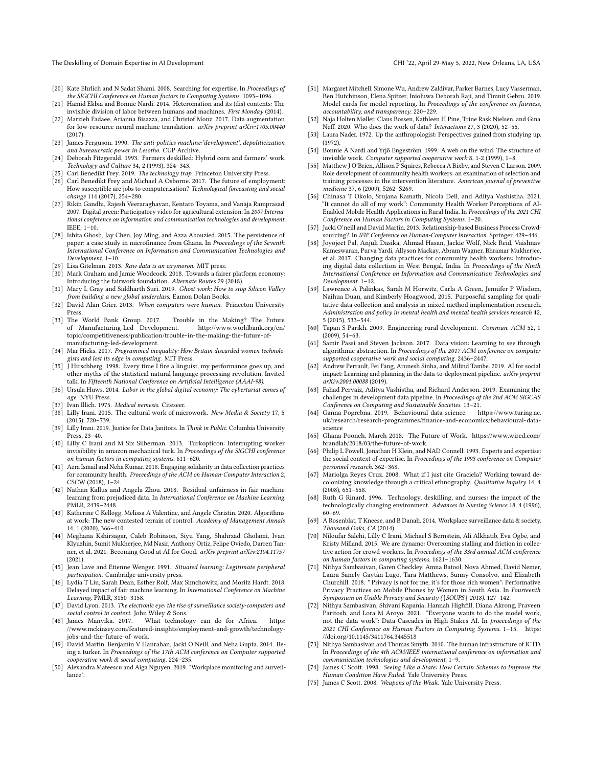The Deskilling of Domain Expertise in AI Development CHI '22, April 29-May 5, 2022, New Orleans, LA, USA

- <span id="page-12-25"></span>[20] Kate Ehrlich and N Sadat Shami. 2008. Searching for expertise. In Proceedings of the SIGCHI Conference on Human factors in Computing Systems. 1093–1096.
- <span id="page-12-5"></span>[21] Hamid Ekbia and Bonnie Nardi. 2014. Heteromation and its (dis) contents: The invisible division of labor between humans and machines. First Monday (2014).
- <span id="page-12-35"></span>[22] Marzieh Fadaee, Arianna Bisazza, and Christof Monz. 2017. Data augmentation for low-resource neural machine translation. arXiv preprint arXiv:1705.00440 (2017).
- <span id="page-12-52"></span>[23] James Ferguson. 1990. The anti-politics machine:'development', depoliticization and bureaucratic power in Lesotho. CUP Archive.
- <span id="page-12-11"></span>[24] Deborah Fitzgerald. 1993. Farmers deskilled: Hybrid corn and farmers' work. Technology and Culture 34, 2 (1993), 324–343.
- <span id="page-12-15"></span>[25] Carl Benedikt Frey. 2019. The technology trap. Princeton University Press.<br>[26] Carl Benedikt Frey and Michael A Osborne. 2017. The future of employ:
- <span id="page-12-12"></span>Carl Benedikt Frey and Michael A Osborne. 2017. The future of employment: How susceptible are jobs to computerisation? Technological forecasting and social change 114 (2017), 254–280.
- <span id="page-12-36"></span>[27] Rikin Gandhi, Rajesh Veeraraghavan, Kentaro Toyama, and Vanaja Ramprasad. 2007. Digital green: Participatory video for agricultural extension. In 2007 International conference on information and communication technologies and development. IEEE, 1–10.
- <span id="page-12-39"></span>[28] Ishita Ghosh, Jay Chen, Joy Ming, and Azza Abouzied. 2015. The persistence of paper: a case study in microfinance from Ghana. In Proceedings of the Seventh International Conference on Information and Communication Technologies and Development. 1–10.
- <span id="page-12-29"></span>[29] Lisa Gitelman. 2013. Raw data is an oxymoron. MIT press.
- <span id="page-12-6"></span>[30] Mark Graham and Jamie Woodcock. 2018. Towards a fairer platform economy: Introducing the fairwork foundation. Alternate Routes 29 (2018).
- <span id="page-12-7"></span>[31] Mary L Gray and Siddharth Suri. 2019. Ghost work: How to stop Silicon Valley from building a new global underclass. Eamon Dolan Books.
- <span id="page-12-27"></span>[32] David Alan Grier. 2013. When computers were human. Princeton University Press.
- <span id="page-12-19"></span>[33] The World Bank Group. 2017. Trouble in the Making? The Future of Manufacturing-Led Development. [http://www.worldbank.org/en/](http://www.worldbank.org/en/topic/competitiveness/publication/trouble-in-the-making-the-future-of-manufacturing-led-development) [topic/competitiveness/publication/trouble-in-the-making-the-future-of](http://www.worldbank.org/en/topic/competitiveness/publication/trouble-in-the-making-the-future-of-manufacturing-led-development)[manufacturing-led-development.](http://www.worldbank.org/en/topic/competitiveness/publication/trouble-in-the-making-the-future-of-manufacturing-led-development)
- <span id="page-12-2"></span>[34] Mar Hicks. 2017. Programmed inequality: How Britain discarded women technologists and lost its edge in computing. MIT Press.
- <span id="page-12-1"></span>[35] J Hirschberg. 1998. Every time I fire a linguist, my performance goes up, and other myths of the statistical natural language processing revolution. Invited talk. In Fifteenth National Conference on Artificial Intelligence (AAAI-98).
- <span id="page-12-13"></span>[36] Ursula Huws. 2014. Labor in the global digital economy: The cybertariat comes of age. NYU Press.
- <span id="page-12-45"></span>Ivan Illich. 1975. Medical nemesis. Citeseer.
- <span id="page-12-14"></span>[38] Lilly Irani. 2015. The cultural work of microwork. New Media & Society 17, 5 (2015), 720–739.
- <span id="page-12-8"></span>[39] Lilly Irani. 2019. Justice for Data Janitors. In Think in Public. Columbia University Press, 23–40.
- <span id="page-12-17"></span>[40] Lilly C Irani and M Six Silberman. 2013. Turkopticon: Interrupting worker invisibility in amazon mechanical turk. In Proceedings of the SIGCHI conference on human factors in computing systems. 611–620.
- <span id="page-12-3"></span>[41] Azra Ismail and Neha Kumar. 2018. Engaging solidarity in data collection practices for community health. Proceedings of the ACM on Human-Computer Interaction 2, CSCW (2018), 1–24.
- <span id="page-12-47"></span>[42] Nathan Kallus and Angela Zhou. 2018. Residual unfairness in fair machine learning from prejudiced data. In International Conference on Machine Learning. PMLR, 2439–2448.
- <span id="page-12-51"></span>[43] Katherine C Kellogg, Melissa A Valentine, and Angele Christin. 2020. Algorithms at work: The new contested terrain of control. Academy of Management Annals 14, 1 (2020), 366–410.
- <span id="page-12-0"></span>[44] Meghana Kshirsagar, Caleb Robinson, Siyu Yang, Shahrzad Gholami, Ivan Klyuzhin, Sumit Mukherjee, Md Nasir, Anthony Ortiz, Felipe Oviedo, Darren Tanner, et al. 2021. Becoming Good at AI for Good. arXiv preprint arXiv:2104.11757 (2021).
- <span id="page-12-23"></span>[45] Jean Lave and Etienne Wenger. 1991. Situated learning: Legitimate peripheral participation. Cambridge university press.
- <span id="page-12-48"></span>[46] Lydia T Liu, Sarah Dean, Esther Rolf, Max Simchowitz, and Moritz Hardt. 2018. Delayed impact of fair machine learning. In International Conference on Machine Learning. PMLR, 3150–3158.
- <span id="page-12-16"></span>[47] David Lyon. 2013. The electronic eye: the rise of surveillance society-computers and social control in context. John Wiley & Sons.<br>[48] James Manyika. 2017. What technolo
- <span id="page-12-20"></span>What technology can do for Africa. [//www.mckinsey.com/featured-insights/employment-and-growth/technology](https://www.mckinsey.com/featured-insights/employment-and-growth/technology-jobs-and-the-future-of-work)[jobs-and-the-future-of-work.](https://www.mckinsey.com/featured-insights/employment-and-growth/technology-jobs-and-the-future-of-work)
- <span id="page-12-32"></span>[49] David Martin, Benjamin V Hanrahan, Jacki O'Neill, and Neha Gupta. 2014. Being a turker. In Proceedings of the 17th ACM conference on Computer supported cooperative work & social computing. 224–235.
- <span id="page-12-49"></span>[50] Alexandra Mateescu and Aiga Nguyen. 2019. "Workplace monitoring and surveillance".
- <span id="page-12-54"></span>[51] Margaret Mitchell, Simone Wu, Andrew Zaldivar, Parker Barnes, Lucy Vasserman, Ben Hutchinson, Elena Spitzer, Inioluwa Deborah Raji, and Timnit Gebru. 2019. Model cards for model reporting. In Proceedings of the conference on fairness, accountability, and transparency. 220–229.
- <span id="page-12-9"></span>[52] Naja Holten Møller, Claus Bossen, Kathleen H Pine, Trine Rask Nielsen, and Gina Neff. 2020. Who does the work of data? Interactions 27, 3 (2020), 52–55.
- <span id="page-12-40"></span>[53] Laura Nader. 1972. Up the anthropologist: Perspectives gained from studying up. (1972).
- <span id="page-12-26"></span>[54] Bonnie A Nardi and Yrjö Engeström. 1999. A web on the wind: The structure of invisible work. Computer supported cooperative work 8, 1-2 (1999), 1–8.
- <span id="page-12-37"></span>[55] Matthew J O'Brien, Allison P Squires, Rebecca A Bixby, and Steven C Larson. 2009. Role development of community health workers: an examination of selection and training processes in the intervention literature. American journal of preventive medicine 37, 6 (2009), S262–S269.
- <span id="page-12-4"></span>[56] Chinasa T Okolo, Srujana Kamath, Nicola Dell, and Aditya Vashistha. 2021. 'It cannot do all of my work": Community Health Worker Perceptions of AI-Enabled Mobile Health Applications in Rural India. In Proceedings of the 2021 CHI Conference on Human Factors in Computing Systems. 1–20.
- <span id="page-12-46"></span>[57] Jacki O'neill and David Martin. 2013. Relationship-based Business Process Crowdsourcing?. In IFIP Conference on Human-Computer Interaction. Springer, 429–446.
- <span id="page-12-30"></span>Joyojeet Pal, Anjuli Dasika, Ahmad Hasan, Jackie Wolf, Nick Reid, Vaishnav Kameswaran, Purva Yardi, Allyson Mackay, Abram Wagner, Bhramar Mukherjee, et al. 2017. Changing data practices for community health workers: Introducing digital data collection in West Bengal, India. In Proceedings of the Ninth International Conference on Information and Communication Technologies and Development. 1–12.
- <span id="page-12-41"></span>[59] Lawrence A Palinkas, Sarah M Horwitz, Carla A Green, Jennifer P Wisdom, Naihua Duan, and Kimberly Hoagwood. 2015. Purposeful sampling for qualitative data collection and analysis in mixed method implementation research. Administration and policy in mental health and mental health services research 42, 5 (2015), 533–544.
- <span id="page-12-33"></span>[60] Tapan S Parikh. 2009. Engineering rural development. Commun. ACM 52, 1 (2009), 54–63.
- <span id="page-12-28"></span>[61] Samir Passi and Steven Jackson. 2017. Data vision: Learning to see through algorithmic abstraction. In Proceedings of the 2017 ACM conference on computer supported cooperative work and social computing. 2436–2447. [62] Andrew Perrault, Fei Fang, Arunesh Sinha, and Milind Tambe. 2019. AI for social
- <span id="page-12-38"></span>impact: Learning and planning in the data-to-deployment pipeline. arXiv preprint arXiv:2001.00088 (2019).
- <span id="page-12-34"></span>[63] Fahad Pervaiz, Aditya Vashistha, and Richard Anderson. 2019. Examining the challenges in development data pipeline. In Proceedings of the 2nd ACM SIGCAS Conference on Computing and Sustainable Societies. 13–21.
- <span id="page-12-50"></span>[64] Ganna Pogrebna. 2019. Behavioural data science. [https://www.turing.ac.](https://www.turing.ac.uk/research/research-programmes/finance-and-economics/behavioural-data-science) [uk/research/research-programmes/finance-and-economics/behavioural-data](https://www.turing.ac.uk/research/research-programmes/finance-and-economics/behavioural-data-science)[science](https://www.turing.ac.uk/research/research-programmes/finance-and-economics/behavioural-data-science)
- <span id="page-12-21"></span>[65] Ghana Pooneh. March 2018. The Future of Work. [https://www.wired.com/](https://www.wired.com/brandlab/2018/03/the-future-of-work) [brandlab/2018/03/the-future-of-work.](https://www.wired.com/brandlab/2018/03/the-future-of-work)
- <span id="page-12-24"></span>[66] Philip L Powell, Jonathan H Klein, and NAD Connell. 1993. Experts and expertise: the social context of expertise. In Proceedings of the 1993 conference on Computer personnel research. 362–368.
- <span id="page-12-55"></span>[67] Mariolga Reyes Cruz. 2008. What if I just cite Graciela? Working toward decolonizing knowledge through a critical ethnography. Qualitative Inquiry 14, 4 (2008), 651–658.
- <span id="page-12-10"></span>[68] Ruth G Rinard. 1996. Technology, deskilling, and nurses: the impact of the technologically changing environment. Advances in Nursing Science 18, 4 (1996), 60–69.
- <span id="page-12-43"></span>[69] A Rosenblat, T Kneese, and B Danah. 2014. Workplace surveillance data & society. Thousand Oaks, CA (2014).
- <span id="page-12-18"></span>[70] Niloufar Salehi, Lilly C Irani, Michael S Bernstein, Ali Alkhatib, Eva Ogbe, and Kristy Milland. 2015. We are dynamo: Overcoming stalling and friction in collective action for crowd workers. In Proceedings of the 33rd annual ACM conference on human factors in computing systems. 1621–1630.
- <span id="page-12-42"></span>[71] Nithya Sambasivan, Garen Checkley, Amna Batool, Nova Ahmed, David Nemer, Laura Sanely Gaytán-Lugo, Tara Matthews, Sunny Consolvo, and Elizabeth Churchill. 2018. " Privacy is not for me, it's for those rich women": Performative Privacy Practices on Mobile Phones by Women in South Asia. In Fourteenth Symposium on Usable Privacy and Security ({SOUPS} 2018). 127–142.
- <span id="page-12-31"></span>[72] Nithya Sambasivan, Shivani Kapania, Hannah Highfill, Diana Akrong, Praveen Paritosh, and Lora M Aroyo. 2021. "Everyone wants to do the model work, not the data work": Data Cascades in High-Stakes AI. In proceedings of the 2021 CHI Conference on Human Factors in Computing Systems. 1–15. [https:](https://doi.org/10.1145/3411764.3445518) [//doi.org/10.1145/3411764.3445518](https://doi.org/10.1145/3411764.3445518)
- <span id="page-12-53"></span>[73] Nithya Sambasivan and Thomas Smyth. 2010. The human infrastructure of ICTD. In Proceedings of the 4th ACM/IEEE international conference on information and communication technologies and development. 1–9.
- <span id="page-12-22"></span>[74] James C Scott. 1998. Seeing Like a State: How Certain Schemes to Improve the Human Condition Have Failed. Yale University Press.
- <span id="page-12-44"></span>[75] James C Scott. 2008. Weapons of the Weak. Yale University Press.